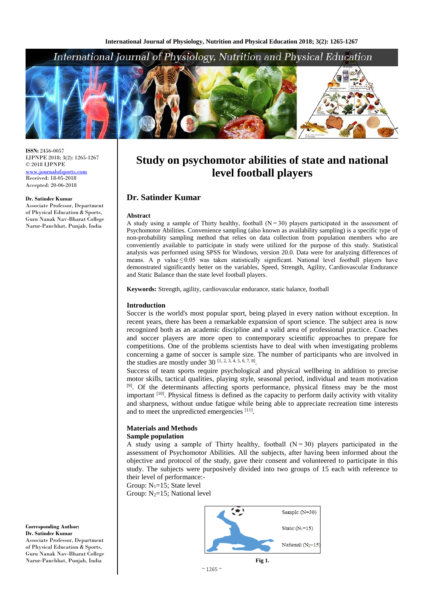# International Journal of Physiology, Nutrition and Physical Education



**ISSN:** 2456-0057 IJPNPE 2018; 3(2): 1265-1267 © 2018 IJPNPE <www.journalofsports.com> Received: 18-05-2018 Accepted: 20-06-2018

#### **Dr. Satinder Kumar**

Associate Professor, Department of Physical Education & Sports, Guru Nanak Nav-Bharat College Narur-Panchhat, Punjab, India

**Study on psychomotor abilities of state and national level football players**

# **Dr. Satinder Kumar**

#### **Abstract**

A study using a sample of Thirty healthy, football  $(N=30)$  players participated in the assessment of Psychomotor Abilities. Convenience sampling (also known as availability sampling) is a specific type of non-probability sampling method that relies on data collection from population members who are conveniently available to participate in study were utilized for the purpose of this study. Statistical analysis was performed using SPSS for Windows, version 20.0. Data were for analyzing differences of means. A p value $\leq 0.05$  was taken statistically significant. National level football players have demonstrated significantly better on the variables, Speed, Strength, Agility, Cardiovascular Endurance and Static Balance than the state level football players.

**Keywords:** Strength, agility, cardiovascular endurance, static balance, football

## **Introduction**

Soccer is the world's most popular sport, being played in every nation without exception. In recent years, there has been a remarkable expansion of sport science. The subject area is now recognized both as an academic discipline and a valid area of professional practice. Coaches and soccer players are more open to contemporary scientific approaches to prepare for competitions. One of the problems scientists have to deal with when investigating problems concerning a game of soccer is sample size. The number of participants who are involved in the studies are mostly under  $30^{[1, 2, 3, 4, 5, 6, 7, 8]}$ .

Success of team sports require psychological and physical wellbeing in addition to precise motor skills, tactical qualities, playing style, seasonal period, individual and team motivation <sup>[9]</sup>. Of the determinants affecting sports performance, physical fitness may be the most important <sup>[10]</sup>. Physical fitness is defined as the capacity to perform daily activity with vitality and sharpness, without undue fatigue while being able to appreciate recreation time interests and to meet the unpredicted emergencies [11].

## **Materials and Methods Sample population**

A study using a sample of Thirty healthy, football  $(N=30)$  players participated in the assessment of Psychomotor Abilities. All the subjects, after having been informed about the objective and protocol of the study, gave their consent and volunteered to participate in this study. The subjects were purposively divided into two groups of 15 each with reference to their level of performance:-

Group:  $N_1=15$ ; State level

Group:  $N_2=15$ ; National level



**Corresponding Author: Dr. Satinder Kumar** Associate Professor, Department of Physical Education & Sports, Guru Nanak Nav-Bharat College Narur-Panchhat, Punjab, India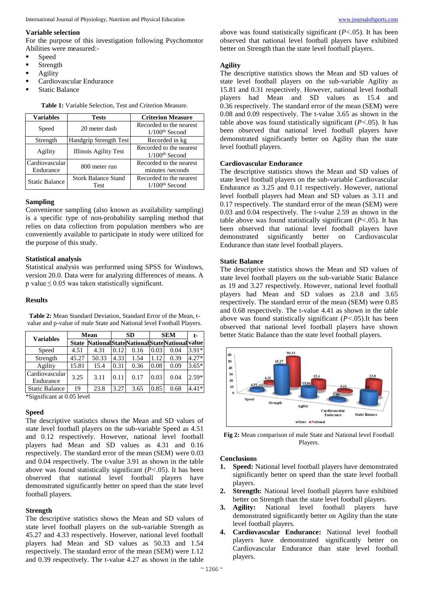#### **Variable selection**

For the purpose of this investigation following Psychomotor Abilities were measured:-

- Speed
- Strength
- Agility
- Cardiovascular Endurance
- Static Balance

| <b>Variables</b>      | <b>Tests</b>                  | <b>Criterion Measure</b>     |  |  |
|-----------------------|-------------------------------|------------------------------|--|--|
| Speed                 | 20 meter dash                 | Recorded to the nearest      |  |  |
|                       |                               | $1/100th$ Second             |  |  |
| Strength              | <b>Handgrip Strength Test</b> | Recorded in kg               |  |  |
| Agility               | <b>Illinois Agility Test</b>  | Recorded to the nearest      |  |  |
|                       |                               | $1/100th$ Second             |  |  |
| Cardiovascular        | 800 meter run                 | Recorded to the nearest      |  |  |
| Endurance             |                               | minutes/seconds              |  |  |
| <b>Static Balance</b> | <b>Stork Balance Stand</b>    | Recorded to the nearest      |  |  |
|                       | Test                          | $1/100$ <sup>th</sup> Second |  |  |

**Table 1:** Variable Selection, Test and Criterion Measure.

# **Sampling**

Convenience sampling (also known as availability sampling) is a specific type of non-probability sampling method that relies on data collection from population members who are conveniently available to participate in study were utilized for the purpose of this study.

#### **Statistical analysis**

Statistical analysis was performed using SPSS for Windows, version 20.0. Data were for analyzing differences of means. A p value $\leq$ 0.05 was taken statistically significant.

## **Results**

| <b>Variables</b>            | Mean         |                                              | SD   |      | <b>SEM</b> |      | t-      |  |
|-----------------------------|--------------|----------------------------------------------|------|------|------------|------|---------|--|
|                             | <b>State</b> | National State National State National value |      |      |            |      |         |  |
| Speed                       | 4.51         | 4.31                                         | 0.12 | 0.16 | 0.03       | 0.04 | $3.91*$ |  |
| Strength                    | 45.27        | 50.33                                        | 4.33 | 1.54 | 1.12       | 0.39 | $4.27*$ |  |
| Agility                     | 15.81        | 15.4                                         | 0.31 | 0.36 | 0.08       | 0.09 | $3.65*$ |  |
| Cardiovascular<br>Endurance | 3.25         | 3.11                                         | 0.11 | 0.17 | 0.03       | 0.04 | $2.59*$ |  |
| <b>Static Balance</b>       | 19           | 23.8                                         | 3.27 | 3.65 | 0.85       | 0.68 | $4.41*$ |  |
| $*0!!0!$ $*0.0511$          |              |                                              |      |      |            |      |         |  |

**Table 2:** Mean Standard Deviation, Standard Error of the Mean, tvalue and p-value of male State and National level Football Players.

\*Significant at 0.05 level

#### **Speed**

The descriptive statistics shows the Mean and SD values of state level football players on the sub-variable Speed as 4.51 and 0.12 respectively. However, national level football players had Mean and SD values as 4.31 and 0.16 respectively. The standard error of the mean (SEM) were 0.03 and 0.04 respectively. The t-value 3.91 as shown in the table above was found statistically significant (*P<*.05). It has been observed that national level football players have demonstrated significantly better on speed than the state level football players.

### **Strength**

The descriptive statistics shows the Mean and SD values of state level football players on the sub-variable Strength as 45.27 and 4.33 respectively. However, national level football players had Mean and SD values as 50.33 and 1.54 respectively. The standard error of the mean (SEM) were 1.12 and 0.39 respectively. The t-value 4.27 as shown in the table

above was found statistically significant (*P<*.05). It has been observed that national level football players have exhibited better on Strength than the state level football players.

## **Agility**

The descriptive statistics shows the Mean and SD values of state level football players on the sub-variable Agility as 15.81 and 0.31 respectively. However, national level football players had Mean and SD values as 15.4 and 0.36 respectively. The standard error of the mean (SEM) were 0.08 and 0.09 respectively. The t-value 3.65 as shown in the table above was found statistically significant (*P<*.05). It has been observed that national level football players have demonstrated significantly better on Agility than the state level football players.

## **Cardiovascular Endurance**

The descriptive statistics shows the Mean and SD values of state level football players on the sub-variable Cardiovascular Endurance as 3.25 and 0.11 respectively. However, national level football players had Mean and SD values as 3.11 and 0.17 respectively. The standard error of the mean (SEM) were 0.03 and 0.04 respectively. The t-value 2.59 as shown in the table above was found statistically significant (*P<*.05). It has been observed that national level football players have demonstrated significantly better on Cardiovascular Endurance than state level football players.

## **Static Balance**

The descriptive statistics shows the Mean and SD values of state level football players on the sub-variable Static Balance as 19 and 3.27 respectively. However, national level football players had Mean and SD values as 23.8 and 3.65 respectively. The standard error of the mean (SEM) were 0.85 and 0.68 respectively. The t-value 4.41 as shown in the table above was found statistically significant (*P<*.05).It has been observed that national level football players have shown better Static Balance than the state level football players.



**Fig 2:** Mean comparison of male State and National level Football Players.

#### **Conclusions**

- **1. Speed:** National level football players have demonstrated significantly better on speed than the state level football players.
- **2. Strength:** National level football players have exhibited better on Strength than the state level football players.
- **3. Agility:** National level football players have demonstrated significantly better on Agility than the state level football players.
- **4. Cardiovascular Endurance:** National level football players have demonstrated significantly better on Cardiovascular Endurance than state level football players.